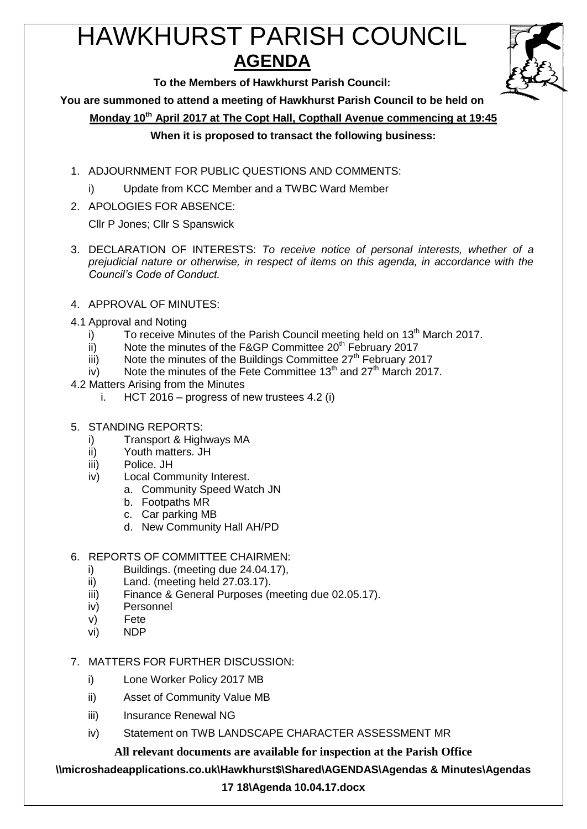# HAWKHURST PARISH COUNCIL **AGENDA**



**To the Members of Hawkhurst Parish Council:**

**You are summoned to attend a meeting of Hawkhurst Parish Council to be held on**

**Monday 10th April 2017 at The Copt Hall, Copthall Avenue commencing at 19:45**

## **When it is proposed to transact the following business:**

- 1. ADJOURNMENT FOR PUBLIC QUESTIONS AND COMMENTS:
	- i) Update from KCC Member and a TWBC Ward Member
- 2. APOLOGIES FOR ABSENCE:

Cllr P Jones; Cllr S Spanswick

- 3. DECLARATION OF INTERESTS: *To receive notice of personal interests, whether of a prejudicial nature or otherwise, in respect of items on this agenda, in accordance with the Council's Code of Conduct.*
- 4. APPROVAL OF MINUTES:
- 4.1 Approval and Noting
	- i) To receive Minutes of the Parish Council meeting held on  $13<sup>th</sup>$  March 2017.
	- ii) Note the minutes of the F&GP Committee  $20<sup>th</sup>$  February 2017
	- $\overline{\phantom{a}}$  iii) Note the minutes of the Buildings Committee 27<sup>th</sup> February 2017
	- $iv$  Note the minutes of the Fete Committee 13<sup>th</sup> and 27<sup>th</sup> March 2017.
- 4.2 Matters Arising from the Minutes
	- i. HCT 2016 progress of new trustees 4.2 (i)
- 5. STANDING REPORTS:
	- i) Transport & Highways MA
	- ii) Youth matters. JH
	- iii) Police. JH
	- iv) Local Community Interest.
		- a. Community Speed Watch JN
		- b. Footpaths MR
		- c. Car parking MB
		- d. New Community Hall AH/PD

## 6. REPORTS OF COMMITTEE CHAIRMEN:

- i) Buildings. (meeting due 24.04.17),
- ii) Land. (meeting held 27.03.17).
- iii) Finance & General Purposes (meeting due 02.05.17).
- iv) Personnel
- v) Fete
- vi) NDP
- 7. MATTERS FOR FURTHER DISCUSSION:
	- i) Lone Worker Policy 2017 MB
	- ii) Asset of Community Value MB
	- iii) Insurance Renewal NG
	- iv) Statement on TWB LANDSCAPE CHARACTER ASSESSMENT MR

**All relevant documents are available for inspection at the Parish Office**

#### **\\microshadeapplications.co.uk\Hawkhurst\$\Shared\AGENDAS\Agendas & Minutes\Agendas**

## **17 18\Agenda 10.04.17.docx**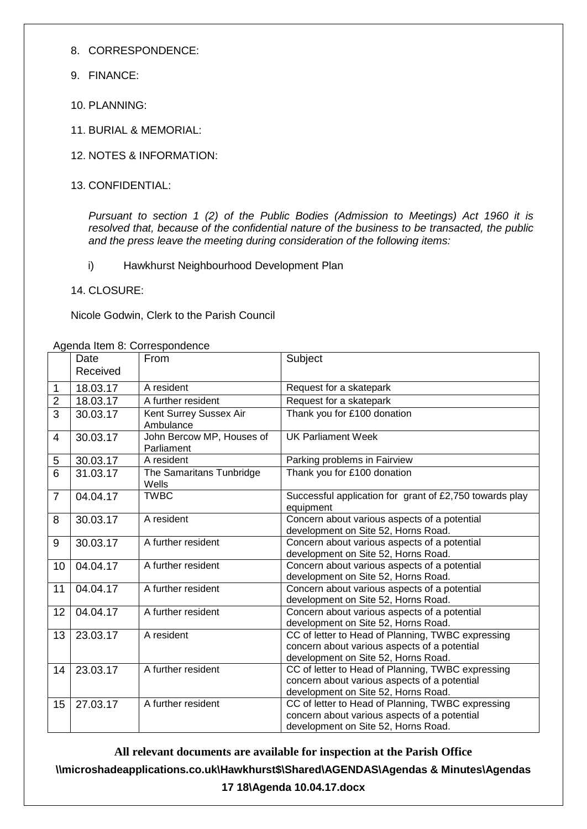- 8. CORRESPONDENCE:
- 9. FINANCE:
- $10.$  PLANNING:
- 11. BURIAL & MEMORIAL:
- 12. NOTES & INFORMATION:
- 13. CONFIDENTIAL:

*Pursuant to section 1 (2) of the Public Bodies (Admission to Meetings) Act 1960 it is resolved that, because of the confidential nature of the business to be transacted, the public and the press leave the meeting during consideration of the following items:*

- i) Hawkhurst Neighbourhood Development Plan
- 14. CLOSURE:

Nicole Godwin, Clerk to the Parish Council

Agenda Item 8: Correspondence

|                | Date<br>Received | <u>onaa nom or oon ooponaonoo</u><br>From | Subject                                                                                                                                  |
|----------------|------------------|-------------------------------------------|------------------------------------------------------------------------------------------------------------------------------------------|
| 1              | 18.03.17         | A resident                                | Request for a skatepark                                                                                                                  |
| $\overline{2}$ | 18.03.17         | A further resident                        | Request for a skatepark                                                                                                                  |
| $\overline{3}$ | 30.03.17         | Kent Surrey Sussex Air<br>Ambulance       | Thank you for £100 donation                                                                                                              |
| 4              | 30.03.17         | John Bercow MP, Houses of<br>Parliament   | <b>UK Parliament Week</b>                                                                                                                |
| 5              | 30.03.17         | A resident                                | Parking problems in Fairview                                                                                                             |
| $\overline{6}$ | 31.03.17         | The Samaritans Tunbridge<br>Wells         | Thank you for £100 donation                                                                                                              |
| $\overline{7}$ | 04.04.17         | <b>TWBC</b>                               | Successful application for grant of £2,750 towards play<br>equipment                                                                     |
| 8              | 30.03.17         | A resident                                | Concern about various aspects of a potential<br>development on Site 52, Horns Road.                                                      |
| 9              | 30.03.17         | A further resident                        | Concern about various aspects of a potential<br>development on Site 52, Horns Road.                                                      |
| 10             | 04.04.17         | A further resident                        | Concern about various aspects of a potential<br>development on Site 52, Horns Road.                                                      |
| 11             | 04.04.17         | A further resident                        | Concern about various aspects of a potential<br>development on Site 52, Horns Road.                                                      |
| 12             | 04.04.17         | A further resident                        | Concern about various aspects of a potential<br>development on Site 52, Horns Road.                                                      |
| 13             | 23.03.17         | A resident                                | CC of letter to Head of Planning, TWBC expressing<br>concern about various aspects of a potential<br>development on Site 52, Horns Road. |
| 14             | 23.03.17         | A further resident                        | CC of letter to Head of Planning, TWBC expressing<br>concern about various aspects of a potential<br>development on Site 52, Horns Road. |
| 15             | 27.03.17         | A further resident                        | CC of letter to Head of Planning, TWBC expressing<br>concern about various aspects of a potential<br>development on Site 52, Horns Road. |

**All relevant documents are available for inspection at the Parish Office \\microshadeapplications.co.uk\Hawkhurst\$\Shared\AGENDAS\Agendas & Minutes\Agendas 17 18\Agenda 10.04.17.docx**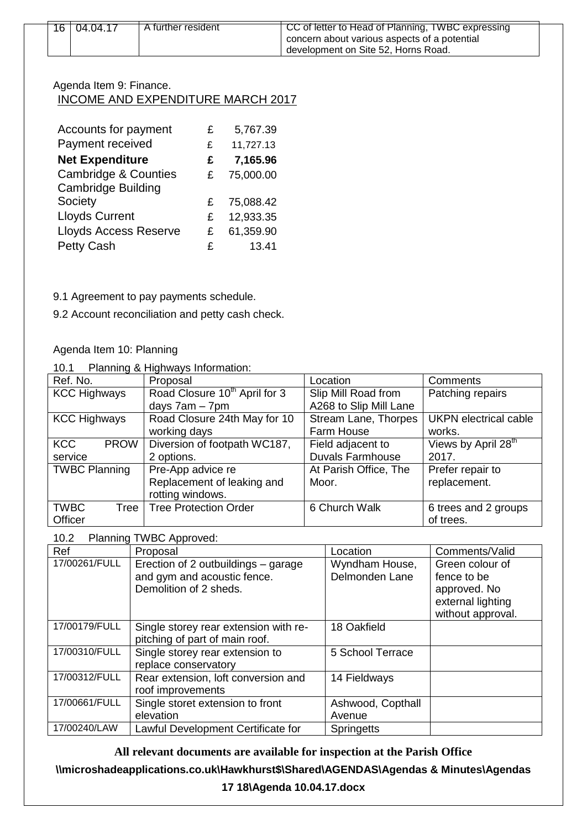| 16 | 04.04.17 | A further resident | CC of letter to Head of Planning, TWBC expressing<br>concern about various aspects of a potential<br>development on Site 52, Horns Road. |
|----|----------|--------------------|------------------------------------------------------------------------------------------------------------------------------------------|
|    |          |                    |                                                                                                                                          |

#### Agenda Item 9: Finance. INCOME AND EXPENDITURE MARCH 2017

| Accounts for payment            | £ | 5,767.39  |
|---------------------------------|---|-----------|
| Payment received                | £ | 11,727.13 |
| <b>Net Expenditure</b>          | £ | 7,165.96  |
| <b>Cambridge &amp; Counties</b> | £ | 75,000.00 |
| <b>Cambridge Building</b>       |   |           |
| Society                         | £ | 75,088.42 |
| <b>Lloyds Current</b>           | £ | 12,933.35 |
| <b>Lloyds Access Reserve</b>    | £ | 61,359.90 |
| <b>Petty Cash</b>               | £ | 13.41     |

9.1 Agreement to pay payments schedule.

9.2 Account reconciliation and petty cash check.

## Agenda Item 10: Planning

10.1 Planning & Highways Information:

| Ref. No.                  | Proposal                                  | Location                | Comments                        |
|---------------------------|-------------------------------------------|-------------------------|---------------------------------|
| <b>KCC Highways</b>       | Road Closure 10 <sup>th</sup> April for 3 | Slip Mill Road from     | Patching repairs                |
|                           | days $7am - 7pm$                          | A268 to Slip Mill Lane  |                                 |
| <b>KCC Highways</b>       | Road Closure 24th May for 10              | Stream Lane, Thorpes    | <b>UKPN</b> electrical cable    |
|                           | working days                              | Farm House              | works.                          |
| <b>KCC</b><br><b>PROW</b> | Diversion of footpath WC187,              | Field adjacent to       | Views by April 28 <sup>th</sup> |
| service                   | 2 options.                                | <b>Duvals Farmhouse</b> | 2017.                           |
| <b>TWBC Planning</b>      | Pre-App advice re                         | At Parish Office, The   | Prefer repair to                |
|                           | Replacement of leaking and                | Moor.                   | replacement.                    |
|                           | rotting windows.                          |                         |                                 |
| <b>TWBC</b><br>Tree       | <b>Tree Protection Order</b>              | 6 Church Walk           | 6 trees and 2 groups            |
| Officer                   |                                           |                         | of trees.                       |

10.2 Planning TWBC Approved:

| Ref                                                  | . = =pp.<br>Proposal                  | Location          | Comments/Valid    |
|------------------------------------------------------|---------------------------------------|-------------------|-------------------|
| 17/00261/FULL<br>Erection of 2 outbuildings - garage |                                       | Wyndham House,    | Green colour of   |
|                                                      | and gym and acoustic fence.           | Delmonden Lane    | fence to be       |
|                                                      | Demolition of 2 sheds.                |                   | approved. No      |
|                                                      |                                       |                   | external lighting |
|                                                      |                                       |                   | without approval. |
| 17/00179/FULL                                        | Single storey rear extension with re- | 18 Oakfield       |                   |
|                                                      | pitching of part of main roof.        |                   |                   |
| 17/00310/FULL                                        | Single storey rear extension to       | 5 School Terrace  |                   |
|                                                      | replace conservatory                  |                   |                   |
| 17/00312/FULL                                        | Rear extension, loft conversion and   | 14 Fieldways      |                   |
|                                                      | roof improvements                     |                   |                   |
| 17/00661/FULL                                        | Single storet extension to front      | Ashwood, Copthall |                   |
|                                                      | elevation                             | Avenue            |                   |
| 17/00240/LAW                                         | Lawful Development Certificate for    | <b>Springetts</b> |                   |

**All relevant documents are available for inspection at the Parish Office**

**\\microshadeapplications.co.uk\Hawkhurst\$\Shared\AGENDAS\Agendas & Minutes\Agendas** 

### **17 18\Agenda 10.04.17.docx**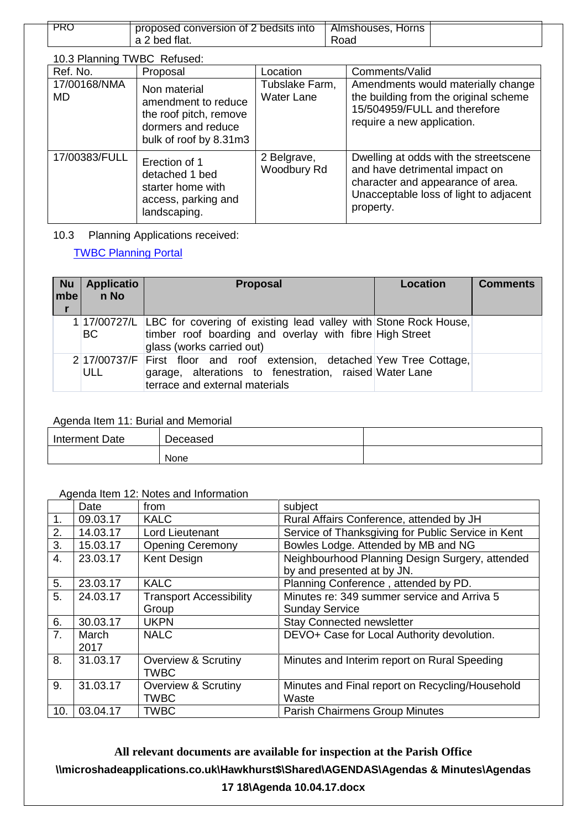| PRC | proposed conversion of 2 bedsits into | Almshouses,<br>Horns |  |
|-----|---------------------------------------|----------------------|--|
|     | a 2 bed flat.                         | Road                 |  |

10.3 Planning TWBC Refused:

| Ref. No.           | Proposal                                                                                                      | Location                            | Comments/Valid                                                                                                                                                      |
|--------------------|---------------------------------------------------------------------------------------------------------------|-------------------------------------|---------------------------------------------------------------------------------------------------------------------------------------------------------------------|
| 17/00168/NMA<br>MD | Non material<br>amendment to reduce<br>the roof pitch, remove<br>dormers and reduce<br>bulk of roof by 8.31m3 | Tubslake Farm,<br><b>Water Lane</b> | Amendments would materially change<br>the building from the original scheme<br>15/504959/FULL and therefore<br>require a new application.                           |
| 17/00383/FULL      | Erection of 1<br>detached 1 bed<br>starter home with<br>access, parking and<br>landscaping.                   | 2 Belgrave,<br>Woodbury Rd          | Dwelling at odds with the streetscene<br>and have detrimental impact on<br>character and appearance of area.<br>Unacceptable loss of light to adjacent<br>property. |

10.3 Planning Applications received:

[TWBC Planning Portal](http://www.tunbridgewells.gov.uk/residents/planning/planning-application-search)

| <b>Nu</b><br>mbel | <b>Applicatio</b><br>n No | <b>Proposal</b>                                                                                                                                                      | Location | <b>Comments</b> |
|-------------------|---------------------------|----------------------------------------------------------------------------------------------------------------------------------------------------------------------|----------|-----------------|
|                   | <b>BC</b>                 | 1 17/00727/L LBC for covering of existing lead valley with Stone Rock House,<br>timber roof boarding and overlay with fibre High Street<br>glass (works carried out) |          |                 |
|                   | <b>ULL</b>                | 2 17/00737/F First floor and roof extension, detached Yew Tree Cottage,<br>garage, alterations to fenestration, raised Water Lane<br>terrace and external materials  |          |                 |

#### Agenda Item 11: Burial and Memorial

| Interment Date | Deceased |  |
|----------------|----------|--|
|                | None     |  |

#### Agenda Item 12: Notes and Information

|     | Date          | from                                          | subject                                                                       |
|-----|---------------|-----------------------------------------------|-------------------------------------------------------------------------------|
| 1.  | 09.03.17      | <b>KALC</b>                                   | Rural Affairs Conference, attended by JH                                      |
| 2.  | 14.03.17      | Lord Lieutenant                               | Service of Thanksgiving for Public Service in Kent                            |
| 3.  | 15.03.17      | <b>Opening Ceremony</b>                       | Bowles Lodge. Attended by MB and NG                                           |
| 4.  | 23.03.17      | Kent Design                                   | Neighbourhood Planning Design Surgery, attended<br>by and presented at by JN. |
| 5.  | 23.03.17      | <b>KALC</b>                                   | Planning Conference, attended by PD.                                          |
| 5.  | 24.03.17      | <b>Transport Accessibility</b>                | Minutes re: 349 summer service and Arriva 5                                   |
|     |               | Group                                         | <b>Sunday Service</b>                                                         |
| 6.  | 30.03.17      | <b>UKPN</b>                                   | Stay Connected newsletter                                                     |
| 7.  | March<br>2017 | <b>NALC</b>                                   | DEVO+ Case for Local Authority devolution.                                    |
| 8.  | 31.03.17      | <b>Overview &amp; Scrutiny</b><br><b>TWBC</b> | Minutes and Interim report on Rural Speeding                                  |
| 9.  | 31.03.17      | Overview & Scrutiny<br><b>TWBC</b>            | Minutes and Final report on Recycling/Household<br>Waste                      |
| 10. | 03.04.17      | <b>TWBC</b>                                   | <b>Parish Chairmens Group Minutes</b>                                         |

**All relevant documents are available for inspection at the Parish Office \\microshadeapplications.co.uk\Hawkhurst\$\Shared\AGENDAS\Agendas & Minutes\Agendas 17 18\Agenda 10.04.17.docx**